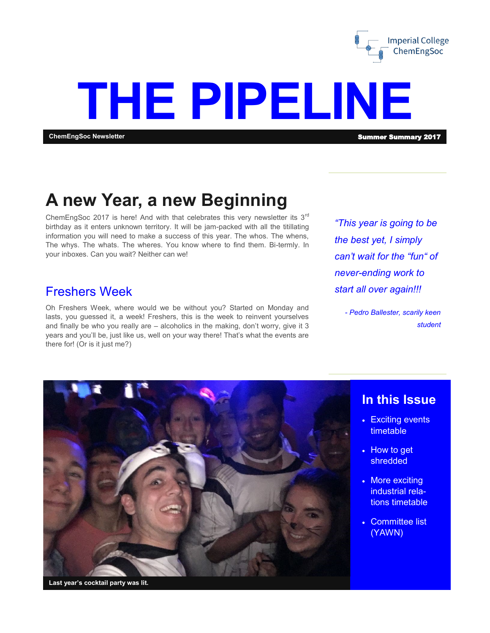

# **THE PIPELINE**

#### **ChemEngSoc Newsletter** Summer Summary 2017

### **A new Year, a new Beginning**

ChemEngSoc 2017 is here! And with that celebrates this very newsletter its 3<sup>rd</sup> birthday as it enters unknown territory. It will be jam-packed with all the titillating information you will need to make a success of this year. The whos. The whens, The whys. The whats. The wheres. You know where to find them. Bi-termly. In your inboxes. Can you wait? Neither can we!

#### Freshers Week

Oh Freshers Week, where would we be without you? Started on Monday and lasts, you guessed it, a week! Freshers, this is the week to reinvent yourselves and finally be who you really are – alcoholics in the making, don't worry, give it 3 years and you'll be, just like us, well on your way there! That's what the events are there for! (Or is it just me?)

*"This year is going to be the best yet, I simply can't wait for the "fun" of never-ending work to start all over again!!!*

*- Pedro Ballester, scarily keen student*



#### **In this Issue**

- Exciting events timetable
- How to get shredded
- More exciting industrial relations timetable
- Committee list (YAWN)

**Last year's cocktail party was lit.**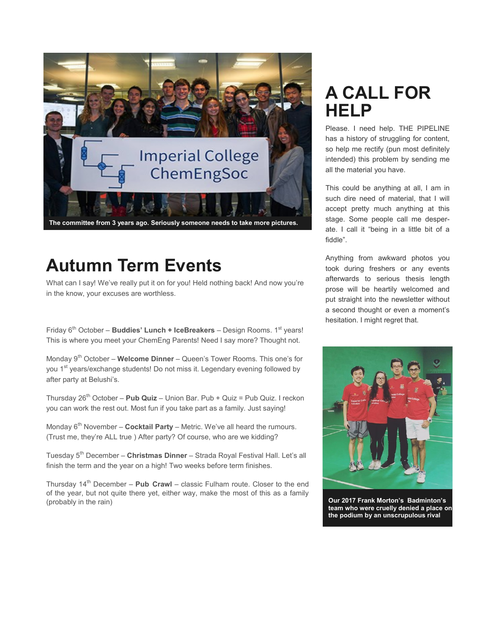

## **Autumn Term Events**

What can I say! We've really put it on for you! Held nothing back! And now you're in the know, your excuses are worthless.

Friday 6<sup>th</sup> October – **Buddies' Lunch + IceBreakers** – Design Rooms. 1<sup>st</sup> years! This is where you meet your ChemEng Parents! Need I say more? Thought not.

Monday 9th October – **Welcome Dinner** – Queen's Tower Rooms. This one's for you 1<sup>st</sup> years/exchange students! Do not miss it. Legendary evening followed by after party at Belushi's.

Thursday 26th October – **Pub Quiz** – Union Bar. Pub + Quiz = Pub Quiz. I reckon you can work the rest out. Most fun if you take part as a family. Just saying!

Monday 6<sup>th</sup> November – **Cocktail Party** – Metric. We've all heard the rumours. (Trust me, they're ALL true ) After party? Of course, who are we kidding?

Tuesday 5th December – **Christmas Dinner** – Strada Royal Festival Hall. Let's all finish the term and the year on a high! Two weeks before term finishes.

Thursday 14<sup>th</sup> December – **Pub Crawl** – classic Fulham route. Closer to the end of the year, but not quite there yet, either way, make the most of this as a family (probably in the rain)

## **A CALL FOR HELP**

Please. I need help. THE PIPELINE has a history of struggling for content, so help me rectify (pun most definitely intended) this problem by sending me all the material you have.

This could be anything at all, I am in such dire need of material, that I will accept pretty much anything at this stage. Some people call me desperate. I call it "being in a little bit of a fiddle".

Anything from awkward photos you took during freshers or any events afterwards to serious thesis length prose will be heartily welcomed and put straight into the newsletter without a second thought or even a moment's hesitation. I might regret that.



**Our 2017 Frank Morton's Badminton's team who were cruelly denied a place on the podium by an unscrupulous rival**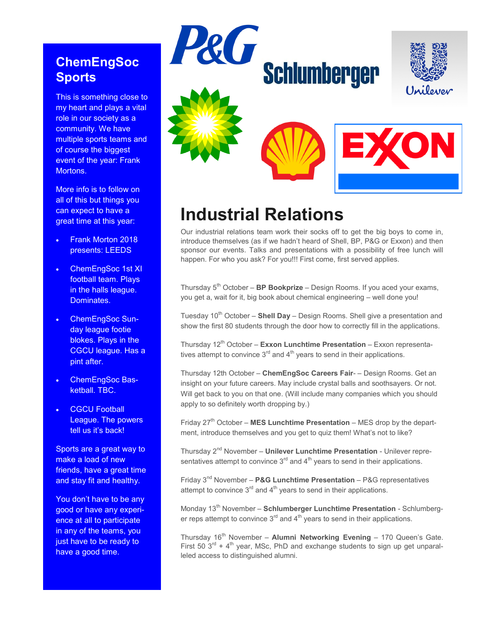#### **ChemEngSoc Sports**

This is something close to my heart and plays a vital role in our society as a community. We have multiple sports teams and of course the biggest event of the year: Frank Mortons.

More info is to follow on all of this but things you can expect to have a great time at this year:

- Frank Morton 2018 presents: LEEDS
- ChemEngSoc 1st XI football team. Plays in the halls league. Dominates.
- ChemEngSoc Sunday league footie blokes. Plays in the CGCU league. Has a pint after.
- ChemEngSoc Basketball. TBC.
- **CGCU Football** League. The powers tell us it's back!

Sports are a great way to make a load of new friends, have a great time and stay fit and healthy.

You don't have to be any good or have any experience at all to participate in any of the teams, you just have to be ready to have a good time.



## **Industrial Relations**

Our industrial relations team work their socks off to get the big boys to come in, introduce themselves (as if we hadn't heard of Shell, BP, P&G or Exxon) and then sponsor our events. Talks and presentations with a possibility of free lunch will happen. For who you ask? For you!!! First come, first served applies.

Thursday 5<sup>th</sup> October – **BP Bookprize** – Design Rooms. If you aced your exams, you get a, wait for it, big book about chemical engineering – well done you!

Tuesday 10<sup>th</sup> October – **Shell Day** – Design Rooms. Shell give a presentation and show the first 80 students through the door how to correctly fill in the applications.

Thursday 12<sup>th</sup> October - Exxon Lunchtime Presentation - Exxon representatives attempt to convince  $3<sup>rd</sup>$  and  $4<sup>th</sup>$  years to send in their applications.

Thursday 12th October – **ChemEngSoc Careers Fair**- – Design Rooms. Get an insight on your future careers. May include crystal balls and soothsayers. Or not. Will get back to you on that one. (Will include many companies which you should apply to so definitely worth dropping by.)

Friday 27<sup>th</sup> October – MES Lunchtime Presentation – MES drop by the department, introduce themselves and you get to quiz them! What's not to like?

Thursday 2nd November – **Unilever Lunchtime Presentation** - Unilever representatives attempt to convince  $3<sup>rd</sup>$  and  $4<sup>th</sup>$  years to send in their applications.

Friday 3nd November – **P&G Lunchtime Presentation** – P&G representatives attempt to convince  $3<sup>rd</sup>$  and  $4<sup>th</sup>$  years to send in their applications.

Monday 13<sup>th</sup> November - Schlumberger Lunchtime Presentation - Schlumberger reps attempt to convince  $3<sup>rd</sup>$  and  $4<sup>th</sup>$  years to send in their applications.

Thursday 16<sup>th</sup> November – Alumni Networking Evening – 170 Queen's Gate. First 50  $3<sup>rd</sup>$  + 4<sup>th</sup> year, MSc, PhD and exchange students to sign up get unparalleled access to distinguished alumni.